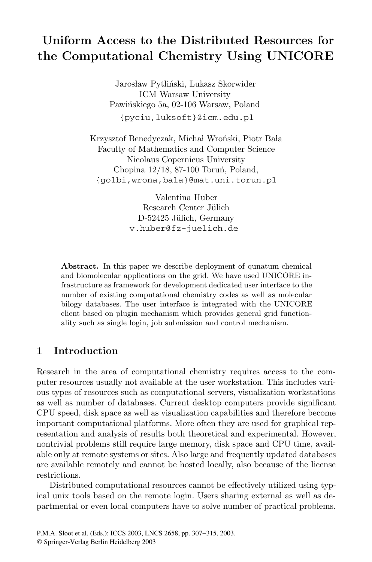# **Uniform Access to the Distributed Resources for the Computational Chemistry Using UNICORE**

Jarosław Pytliński, Lukasz Skorwider ICM Warsaw University Pawińskiego 5a, 02-106 Warsaw, Poland {pyciu,luksoft}@icm.edu.pl

Krzysztof Benedyczak, Michał Wroński, Piotr Bała Faculty of Mathematics and Computer Science Nicolaus Copernicus University Chopina 12/18, 87-100 Torun´, Poland, {golbi,wrona,bala}@mat.uni.torun.pl

> Valentina Huber Research Center Jülich D-52425 Jülich, Germany v.huber@fz-juelich.de

**Abstract.** In this paper we describe deployment of qunatum chemical and biomolecular applications on the grid. We have used UNICORE infrastructure as framework for development dedicated user interface to the number of existing computational chemistry codes as well as molecular bilogy databases. The user interface is integrated with the UNICORE client based on plugin mechanism which provides general grid functionality such as single login, job submission and control mechanism.

# **1 Introduction**

Research in the area of computational chemistry requires access to the computer resources usually not available at the user workstation. This includes various types of resources such as computational servers, visualization workstations as well as number of databases. Current desktop computers provide significant CPU speed, disk space as well as visualization capabilities and therefore become important computational platforms. More often they are used for graphical representation and analysis of results both theoretical and experimental. However, nontrivial problems still require large memory, disk space and CPU time, available only at remote systems or sites. Also large and frequently updated databases are available remotely and cannot be hosted locally, also because of the license restrictions.

Distributed computational resources cannot be effectively utilized using typical unix tools based on the remote login. Users sharing external as well as departmental or even local computers have to solve number of practical problems.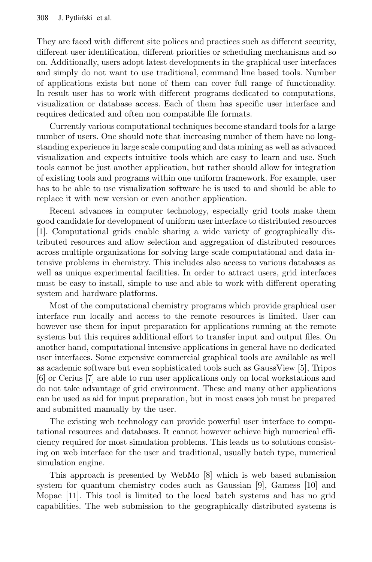They are faced with different site polices and practices such as different security, different user identification, different priorities or scheduling mechanisms and so on. Additionally, users adopt latest developments in the graphical user interfaces and simply do not want to use traditional, command line based tools. Number of applications exists but none of them can cover full range of functionality. In result user has to work with different programs dedicated to computations, visualization or database access. Each of them has specific user interface and requires dedicated and often non compatible file formats.

Currently various computational techniques become standard tools for a large number of users. One should note that increasing number of them have no longstanding experience in large scale computing and data mining as well as advanced visualization and expects intuitive tools which are easy to learn and use. Such tools cannot be just another application, but rather should allow for integration of existing tools and programs within one uniform framework. For example, user has to be able to use visualization software he is used to and should be able to replace it with new version or even another application.

Recent advances in computer technology, especially grid tools make them good candidate for development of uniform user interface to distributed resources [1]. Computational grids enable sharing a wide variety of geographically distributed resources and allow selection and aggregation of distributed resources across multiple organizations for solving large scale computational and data intensive problems in chemistry. This includes also access to various databases as well as unique experimental facilities. In order to attract users, grid interfaces must be easy to install, simple to use and able to work with different operating system and hardware platforms.

Most of the computational chemistry programs which provide graphical user interface run locally and access to the remote resources is limited. User can however use them for input preparation for applications running at the remote systems but this requires additional effort to transfer input and output files. On another hand, computational intensive applications in general have no dedicated user interfaces. Some expensive commercial graphical tools are available as well as academic software but even sophisticated tools such as GaussView [5], Tripos [6] or Cerius [7] are able to run user applications only on local workstations and do not take advantage of grid environment. These and many other applications can be used as aid for input preparation, but in most cases job must be prepared and submitted manually by the user.

The existing web technology can provide powerful user interface to computational resources and databases. It cannot however achieve high numerical efficiency required for most simulation problems. This leads us to solutions consisting on web interface for the user and traditional, usually batch type, numerical simulation engine.

This approach is presented by WebMo [8] which is web based submission system for quantum chemistry codes such as Gaussian [9], Gamess [10] and Mopac [11]. This tool is limited to the local batch systems and has no grid capabilities. The web submission to the geographically distributed systems is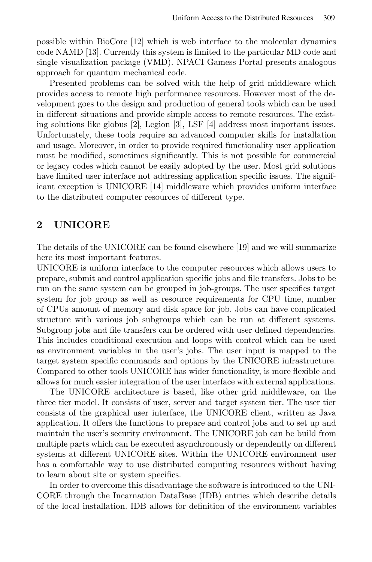possible within BioCore [12] which is web interface to the molecular dynamics code NAMD [13]. Currently this system is limited to the particular MD code and single visualization package (VMD). NPACI Gamess Portal presents analogous approach for quantum mechanical code.

Presented problems can be solved with the help of grid middleware which provides access to remote high performance resources. However most of the development goes to the design and production of general tools which can be used in different situations and provide simple access to remote resources. The existing solutions like globus [2], Legion [3], LSF [4] address most important issues. Unfortunately, these tools require an advanced computer skills for installation and usage. Moreover, in order to provide required functionality user application must be modified, sometimes significantly. This is not possible for commercial or legacy codes which cannot be easily adopted by the user. Most grid solutions have limited user interface not addressing application specific issues. The significant exception is UNICORE [14] middleware which provides uniform interface to the distributed computer resources of different type.

### **2 UNICORE**

The details of the UNICORE can be found elsewhere [19] and we will summarize here its most important features.

UNICORE is uniform interface to the computer resources which allows users to prepare, submit and control application specific jobs and file transfers. Jobs to be run on the same system can be grouped in job-groups. The user specifies target system for job group as well as resource requirements for CPU time, number of CPUs amount of memory and disk space for job. Jobs can have complicated structure with various job subgroups which can be run at different systems. Subgroup jobs and file transfers can be ordered with user defined dependencies. This includes conditional execution and loops with control which can be used as environment variables in the user's jobs. The user input is mapped to the target system specific commands and options by the UNICORE infrastructure. Compared to other tools UNICORE has wider functionality, is more flexible and allows for much easier integration of the user interface with external applications.

The UNICORE architecture is based, like other grid middleware, on the three tier model. It consists of user, server and target system tier. The user tier consists of the graphical user interface, the UNICORE client, written as Java application. It offers the functions to prepare and control jobs and to set up and maintain the user's security environment. The UNICORE job can be build from multiple parts which can be executed asynchronously or dependently on different systems at different UNICORE sites. Within the UNICORE environment user has a comfortable way to use distributed computing resources without having to learn about site or system specifics.

In order to overcome this disadvantage the software is introduced to the UNI-CORE through the Incarnation DataBase (IDB) entries which describe details of the local installation. IDB allows for definition of the environment variables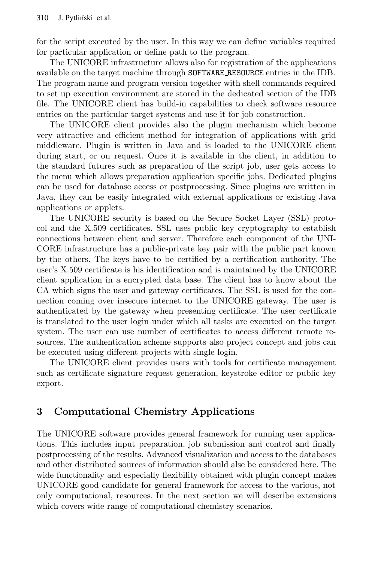for the script executed by the user. In this way we can define variables required for particular application or define path to the program.

The UNICORE infrastructure allows also for registration of the applications available on the target machine through SOFTWARE RESOURCE entries in the IDB. The program name and program version together with shell commands required to set up execution environment are stored in the dedicated section of the IDB file. The UNICORE client has build-in capabilities to check software resource entries on the particular target systems and use it for job construction.

The UNICORE client provides also the plugin mechanism which become very attractive and efficient method for integration of applications with grid middleware. Plugin is written in Java and is loaded to the UNICORE client during start, or on request. Once it is available in the client, in addition to the standard futures such as preparation of the script job, user gets access to the menu which allows preparation application specific jobs. Dedicated plugins can be used for database access or postprocessing. Since plugins are written in Java, they can be easily integrated with external applications or existing Java applications or applets.

The UNICORE security is based on the Secure Socket Layer (SSL) protocol and the X.509 certificates. SSL uses public key cryptography to establish connections between client and server. Therefore each component of the UNI-CORE infrastructure has a public-private key pair with the public part known by the others. The keys have to be certified by a certification authority. The user's X.509 certificate is his identification and is maintained by the UNICORE client application in a encrypted data base. The client has to know about the CA which signs the user and gateway certificates. The SSL is used for the connection coming over insecure internet to the UNICORE gateway. The user is authenticated by the gateway when presenting certificate. The user certificate is translated to the user login under which all tasks are executed on the target system. The user can use number of certificates to access different remote resources. The authentication scheme supports also project concept and jobs can be executed using different projects with single login.

The UNICORE client provides users with tools for certificate management such as certificate signature request generation, keystroke editor or public key export.

# **3 Computational Chemistry Applications**

The UNICORE software provides general framework for running user applications. This includes input preparation, job submission and control and finally postprocessing of the results. Advanced visualization and access to the databases and other distributed sources of information should alse be considered here. The wide functionality and especially flexibility obtained with plugin concept makes UNICORE good candidate for general framework for access to the various, not only computational, resources. In the next section we will describe extensions which covers wide range of computational chemistry scenarios.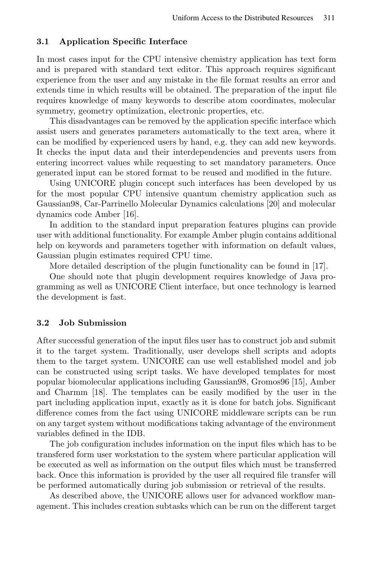#### **3.1 Application Specific Interface**

In most cases input for the CPU intensive chemistry application has text form and is prepared with standard text editor. This approach requires significant experience from the user and any mistake in the file format results an error and extends time in which results will be obtained. The preparation of the input file requires knowledge of many keywords to describe atom coordinates, molecular symmetry, geometry optimization, electronic properties, etc.

This disadvantages can be removed by the application specific interface which assist users and generates parameters automatically to the text area, where it can be modified by experienced users by hand, e.g. they can add new keywords. It checks the input data and their interdependencies and prevents users from entering incorrect values while requesting to set mandatory parameters. Once generated input can be stored format to be reused and modified in the future.

Using UNICORE plugin concept such interfaces has been developed by us for the most popular CPU intensive quantum chemistry application such as Gaussian98, Car-Parrinello Molecular Dynamics calculations [20] and molecular dynamics code Amber [16].

In addition to the standard input preparation features plugins can provide user with additional functionality. For example Amber plugin contains additional help on keywords and parameters together with information on default values, Gaussian plugin estimates required CPU time.

More detailed description of the plugin functionality can be found in [17].

One should note that plugin development requires knowledge of Java programming as well as UNICORE Client interface, but once technology is learned the development is fast.

#### **3.2 Job Submission**

After successful generation of the input files user has to construct job and submit it to the target system. Traditionally, user develops shell scripts and adopts them to the target system. UNICORE can use well established model and job can be constructed using script tasks. We have developed templates for most popular biomolecular applications including Gaussian98, Gromos96 [15], Amber and Charmm [18]. The templates can be easily modified by the user in the part including application input, exactly as it is done for batch jobs. Significant difference comes from the fact using UNICORE middleware scripts can be run on any target system without modifications taking advantage of the environment variables defined in the IDB.

The job configuration includes information on the input files which has to be transfered form user workstation to the system where particular application will be executed as well as information on the output files which must be transferred back. Once this information is provided by the user all required file transfer will be performed automatically during job submission or retrieval of the results.

As described above, the UNICORE allows user for advanced workflow management. This includes creation subtasks which can be run on the different target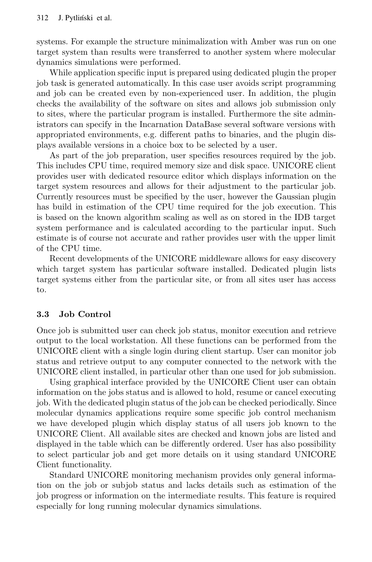systems. For example the structure minimalization with Amber was run on one target system than results were transferred to another system where molecular dynamics simulations were performed.

While application specific input is prepared using dedicated plugin the proper job task is generated automatically. In this case user avoids script programming and job can be created even by non-experienced user. In addition, the plugin checks the availability of the software on sites and allows job submission only to sites, where the particular program is installed. Furthermore the site administrators can specify in the Incarnation DataBase several software versions with appropriated environments, e.g. different paths to binaries, and the plugin displays available versions in a choice box to be selected by a user.

As part of the job preparation, user specifies resources required by the job. This includes CPU time, required memory size and disk space. UNICORE client provides user with dedicated resource editor which displays information on the target system resources and allows for their adjustment to the particular job. Currently resources must be specified by the user, however the Gaussian plugin has build in estimation of the CPU time required for the job execution. This is based on the known algorithm scaling as well as on stored in the IDB target system performance and is calculated according to the particular input. Such estimate is of course not accurate and rather provides user with the upper limit of the CPU time.

Recent developments of the UNICORE middleware allows for easy discovery which target system has particular software installed. Dedicated plugin lists target systems either from the particular site, or from all sites user has access to.

#### **3.3 Job Control**

Once job is submitted user can check job status, monitor execution and retrieve output to the local workstation. All these functions can be performed from the UNICORE client with a single login during client startup. User can monitor job status and retrieve output to any computer connected to the network with the UNICORE client installed, in particular other than one used for job submission.

Using graphical interface provided by the UNICORE Client user can obtain information on the jobs status and is allowed to hold, resume or cancel executing job. With the dedicated plugin status of the job can be checked periodically. Since molecular dynamics applications require some specific job control mechanism we have developed plugin which display status of all users job known to the UNICORE Client. All available sites are checked and known jobs are listed and displayed in the table which can be differently ordered. User has also possibility to select particular job and get more details on it using standard UNICORE Client functionality.

Standard UNICORE monitoring mechanism provides only general information on the job or subjob status and lacks details such as estimation of the job progress or information on the intermediate results. This feature is required especially for long running molecular dynamics simulations.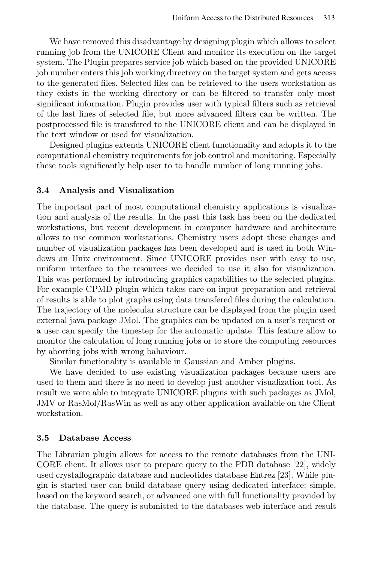We have removed this disadvantage by designing plugin which allows to select running job from the UNICORE Client and monitor its execution on the target system. The Plugin prepares service job which based on the provided UNICORE job number enters this job working directory on the target system and gets access to the generated files. Selected files can be retrieved to the users workstation as they exists in the working directory or can be filtered to transfer only most significant information. Plugin provides user with typical filters such as retrieval of the last lines of selected file, but more advanced filters can be written. The postprocessed file is transfered to the UNICORE client and can be displayed in the text window or used for visualization.

Designed plugins extends UNICORE client functionality and adopts it to the computational chemistry requirements for job control and monitoring. Especially these tools significantly help user to to handle number of long running jobs.

#### **3.4 Analysis and Visualization**

The important part of most computational chemistry applications is visualization and analysis of the results. In the past this task has been on the dedicated workstations, but recent development in computer hardware and architecture allows to use common workstations. Chemistry users adopt these changes and number of visualization packages has been developed and is used in both Windows an Unix environment. Since UNICORE provides user with easy to use, uniform interface to the resources we decided to use it also for visualization. This was performed by introducing graphics capabilities to the selected plugins. For example CPMD plugin which takes care on input preparation and retrieval of results is able to plot graphs using data transfered files during the calculation. The trajectory of the molecular structure can be displayed from the plugin used external java package JMol. The graphics can be updated on a user's request or a user can specify the timestep for the automatic update. This feature allow to monitor the calculation of long running jobs or to store the computing resources by aborting jobs with wrong bahaviour.

Similar functionality is available in Gaussian and Amber plugins.

We have decided to use existing visualization packages because users are used to them and there is no need to develop just another visualization tool. As result we were able to integrate UNICORE plugins with such packages as JMol, JMV or RasMol/RasWin as well as any other application available on the Client workstation.

#### **3.5 Database Access**

The Librarian plugin allows for access to the remote databases from the UNI-CORE client. It allows user to prepare query to the PDB database [22], widely used crystallographic database and nucleotides database Entrez [23]. While plugin is started user can build database query using dedicated interface: simple, based on the keyword search, or advanced one with full functionality provided by the database. The query is submitted to the databases web interface and result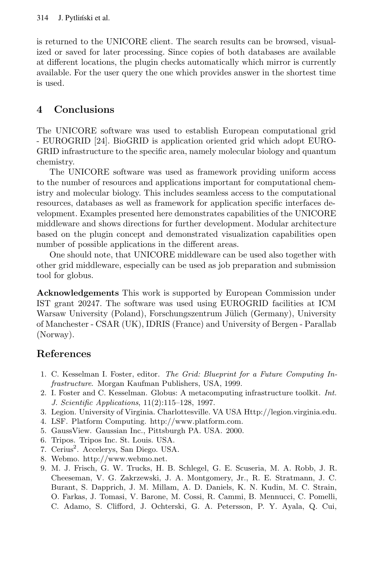is returned to the UNICORE client. The search results can be browsed, visualized or saved for later processing. Since copies of both databases are available at different locations, the plugin checks automatically which mirror is currently available. For the user query the one which provides answer in the shortest time is used.

### **4 Conclusions**

The UNICORE software was used to establish European computational grid - EUROGRID [24]. BioGRID is application oriented grid which adopt EURO-GRID infrastructure to the specific area, namely molecular biology and quantum chemistry.

The UNICORE software was used as framework providing uniform access to the number of resources and applications important for computational chemistry and molecular biology. This includes seamless access to the computational resources, databases as well as framework for application specific interfaces development. Examples presented here demonstrates capabilities of the UNICORE middleware and shows directions for further development. Modular architecture based on the plugin concept and demonstrated visualization capabilities open number of possible applications in the different areas.

One should note, that UNICORE middleware can be used also together with other grid middleware, especially can be used as job preparation and submission tool for globus.

**Acknowledgements** This work is supported by European Commission under IST grant 20247. The software was used using EUROGRID facilities at ICM Warsaw University (Poland), Forschungszentrum Jülich (Germany), University of Manchester - CSAR (UK), IDRIS (France) and University of Bergen - Parallab (Norway).

### **References**

- 1. C. Kesselman I. Foster, editor. *The Grid: Blueprint for a Future Computing Infrastructure*. Morgan Kaufman Publishers, USA, 1999.
- 2. I. Foster and C. Kesselman. Globus: A metacomputing infrastructure toolkit. *Int. J. Scientific Applications*, 11(2):115–128, 1997.
- 3. Legion. University of Virginia. Charlottesville. VA USA Http://legion.virginia.edu.
- 4. LSF. Platform Computing. http://www.platform.com.
- 5. GaussView. Gaussian Inc., Pittsburgh PA. USA. 2000.
- 6. Tripos. Tripos Inc. St. Louis. USA.
- 7. Cerius<sup>2</sup>. Accelerys, San Diego. USA.
- 8. Webmo. http://www.webmo.net.
- 9. M. J. Frisch, G. W. Trucks, H. B. Schlegel, G. E. Scuseria, M. A. Robb, J. R. Cheeseman, V. G. Zakrzewski, J. A. Montgomery, Jr., R. E. Stratmann, J. C. Burant, S. Dapprich, J. M. Millam, A. D. Daniels, K. N. Kudin, M. C. Strain, O. Farkas, J. Tomasi, V. Barone, M. Cossi, R. Cammi, B. Mennucci, C. Pomelli, C. Adamo, S. Clifford, J. Ochterski, G. A. Petersson, P. Y. Ayala, Q. Cui,